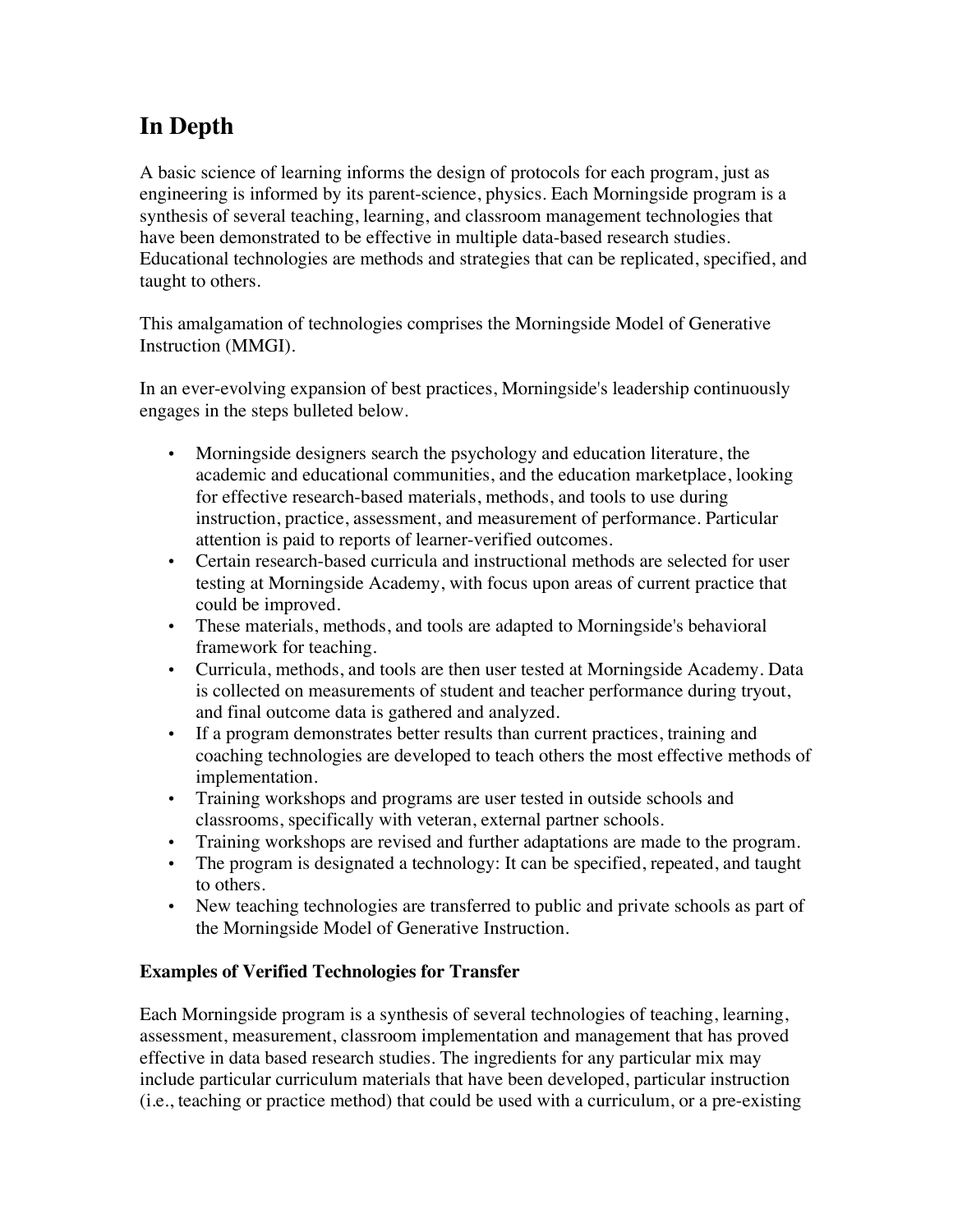## **In Depth**

A basic science of learning informs the design of protocols for each program, just as engineering is informed by its parent-science, physics. Each Morningside program is a synthesis of several teaching, learning, and classroom management technologies that have been demonstrated to be effective in multiple data-based research studies. Educational technologies are methods and strategies that can be replicated, specified, and taught to others.

This amalgamation of technologies comprises the Morningside Model of Generative Instruction (MMGI).

In an ever-evolving expansion of best practices, Morningside's leadership continuously engages in the steps bulleted below.

- Morningside designers search the psychology and education literature, the academic and educational communities, and the education marketplace, looking for effective research-based materials, methods, and tools to use during instruction, practice, assessment, and measurement of performance. Particular attention is paid to reports of learner-verified outcomes.
- Certain research-based curricula and instructional methods are selected for user testing at Morningside Academy, with focus upon areas of current practice that could be improved.
- These materials, methods, and tools are adapted to Morningside's behavioral framework for teaching.
- Curricula, methods, and tools are then user tested at Morningside Academy. Data is collected on measurements of student and teacher performance during tryout, and final outcome data is gathered and analyzed.
- If a program demonstrates better results than current practices, training and coaching technologies are developed to teach others the most effective methods of implementation.
- Training workshops and programs are user tested in outside schools and classrooms, specifically with veteran, external partner schools.
- Training workshops are revised and further adaptations are made to the program.
- The program is designated a technology: It can be specified, repeated, and taught to others.
- New teaching technologies are transferred to public and private schools as part of the Morningside Model of Generative Instruction.

## **Examples of Verified Technologies for Transfer**

Each Morningside program is a synthesis of several technologies of teaching, learning, assessment, measurement, classroom implementation and management that has proved effective in data based research studies. The ingredients for any particular mix may include particular curriculum materials that have been developed, particular instruction (i.e., teaching or practice method) that could be used with a curriculum, or a pre-existing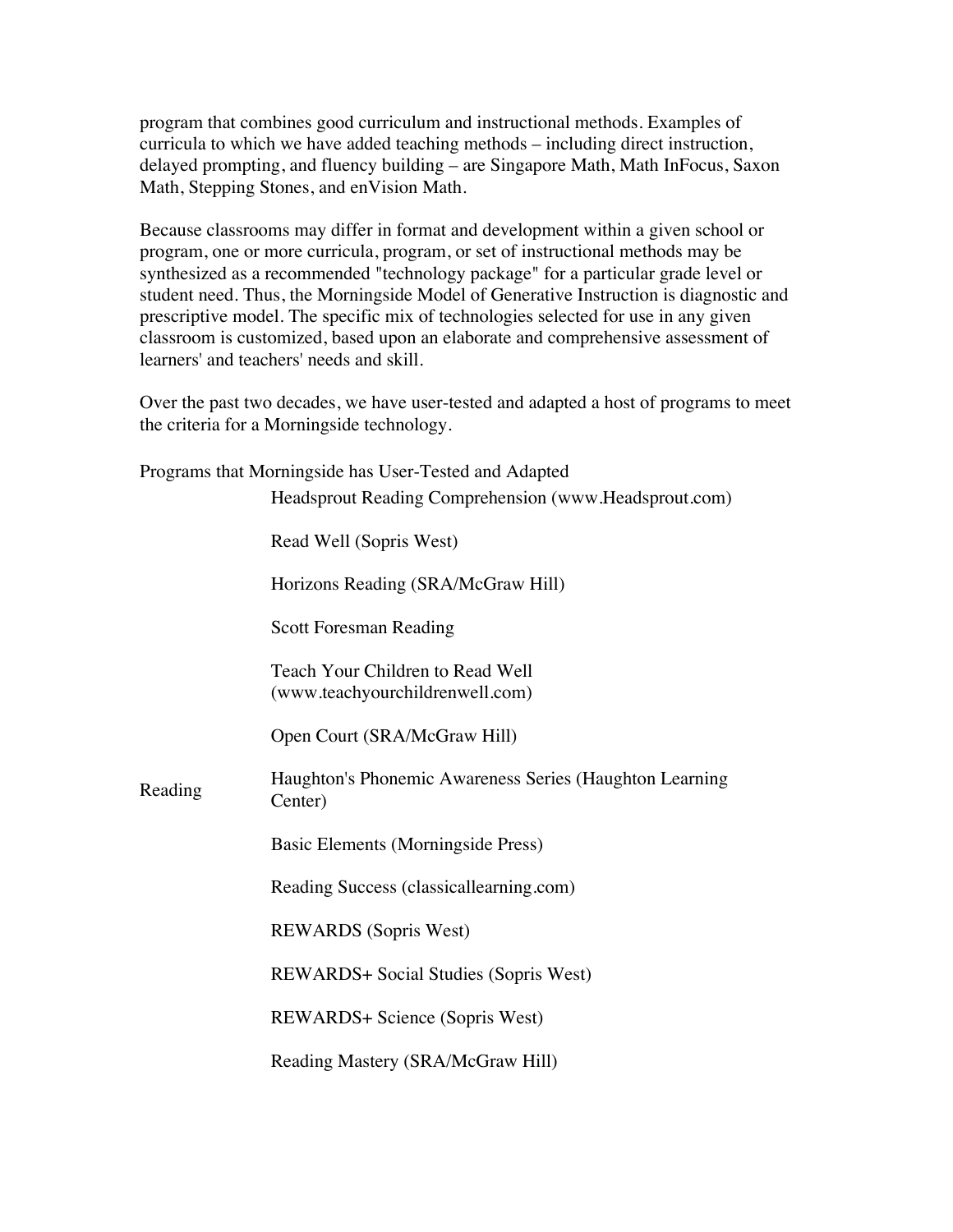program that combines good curriculum and instructional methods. Examples of curricula to which we have added teaching methods – including direct instruction, delayed prompting, and fluency building – are Singapore Math, Math InFocus, Saxon Math, Stepping Stones, and enVision Math.

Because classrooms may differ in format and development within a given school or program, one or more curricula, program, or set of instructional methods may be synthesized as a recommended "technology package" for a particular grade level or student need. Thus, the Morningside Model of Generative Instruction is diagnostic and prescriptive model. The specific mix of technologies selected for use in any given classroom is customized, based upon an elaborate and comprehensive assessment of learners' and teachers' needs and skill.

Over the past two decades, we have user-tested and adapted a host of programs to meet the criteria for a Morningside technology.

| Programs that Morningside has User-Tested and Adapted |                                                                     |
|-------------------------------------------------------|---------------------------------------------------------------------|
|                                                       | Headsprout Reading Comprehension (www.Headsprout.com)               |
|                                                       | Read Well (Sopris West)                                             |
|                                                       | Horizons Reading (SRA/McGraw Hill)                                  |
|                                                       | <b>Scott Foresman Reading</b>                                       |
|                                                       | Teach Your Children to Read Well<br>(www.teachyourchildrenwell.com) |
|                                                       | Open Court (SRA/McGraw Hill)                                        |
| Reading                                               | Haughton's Phonemic Awareness Series (Haughton Learning<br>Center)  |
|                                                       | Basic Elements (Morningside Press)                                  |
|                                                       | Reading Success (classicallearning.com)                             |
|                                                       | <b>REWARDS</b> (Sopris West)                                        |
|                                                       | <b>REWARDS+ Social Studies (Sopris West)</b>                        |
|                                                       | <b>REWARDS+ Science (Sopris West)</b>                               |
|                                                       | Reading Mastery (SRA/McGraw Hill)                                   |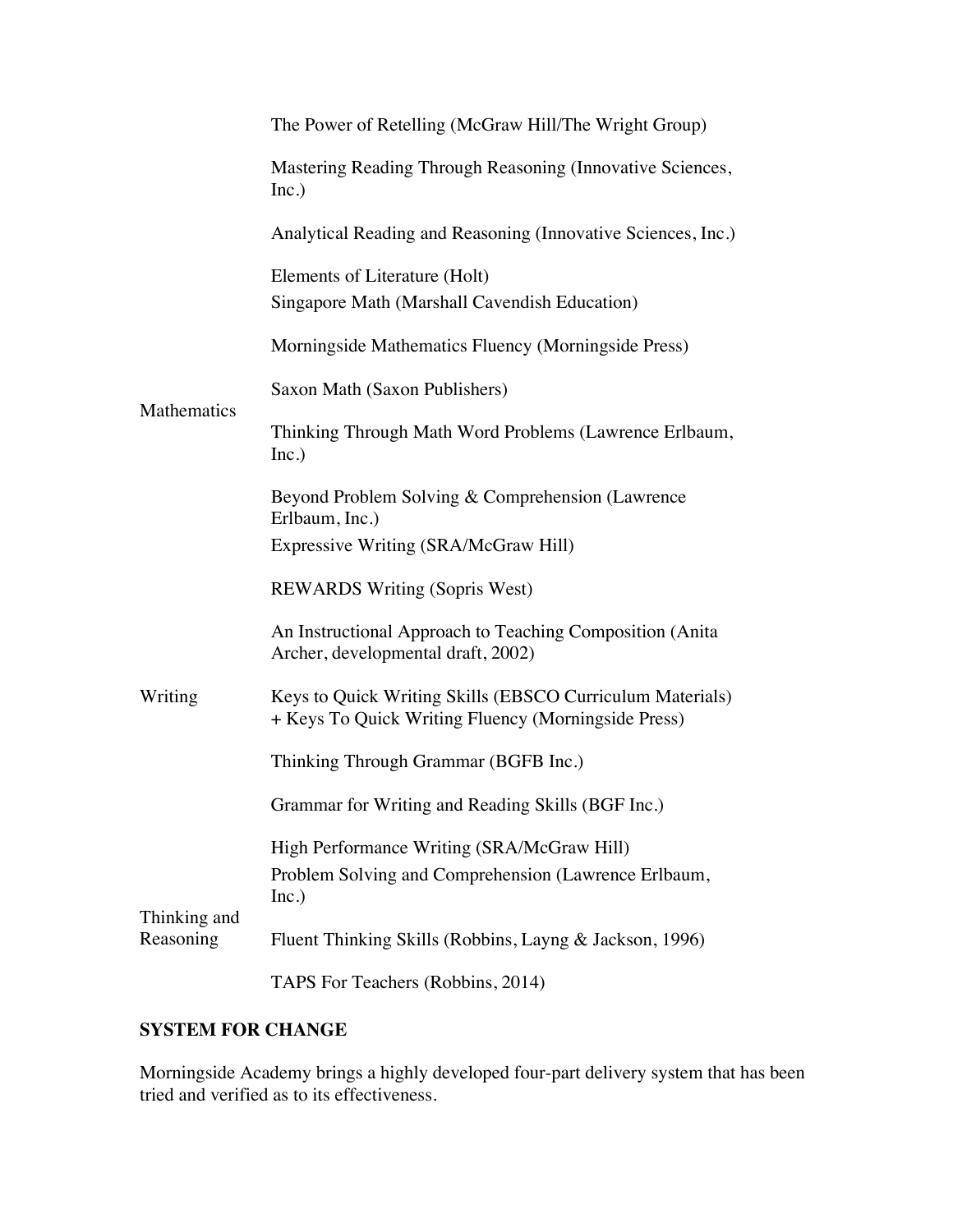|                           | The Power of Retelling (McGraw Hill/The Wright Group)                                                            |
|---------------------------|------------------------------------------------------------------------------------------------------------------|
|                           | Mastering Reading Through Reasoning (Innovative Sciences,<br>Inc.)                                               |
|                           | Analytical Reading and Reasoning (Innovative Sciences, Inc.)                                                     |
| Mathematics               | Elements of Literature (Holt)<br>Singapore Math (Marshall Cavendish Education)                                   |
|                           | Morningside Mathematics Fluency (Morningside Press)                                                              |
|                           | Saxon Math (Saxon Publishers)                                                                                    |
|                           | Thinking Through Math Word Problems (Lawrence Erlbaum,<br>Inc.)                                                  |
|                           | Beyond Problem Solving & Comprehension (Lawrence<br>Erlbaum, Inc.)<br>Expressive Writing (SRA/McGraw Hill)       |
| Writing                   | <b>REWARDS Writing (Sopris West)</b>                                                                             |
|                           | An Instructional Approach to Teaching Composition (Anita<br>Archer, developmental draft, 2002)                   |
|                           | Keys to Quick Writing Skills (EBSCO Curriculum Materials)<br>+ Keys To Quick Writing Fluency (Morningside Press) |
|                           | Thinking Through Grammar (BGFB Inc.)                                                                             |
|                           | Grammar for Writing and Reading Skills (BGF Inc.)                                                                |
| Thinking and<br>Reasoning | High Performance Writing (SRA/McGraw Hill)<br>Problem Solving and Comprehension (Lawrence Erlbaum,<br>Inc.)      |
|                           | Fluent Thinking Skills (Robbins, Layng & Jackson, 1996)                                                          |
|                           | TAPS For Teachers (Robbins, 2014)                                                                                |

## **SYSTEM FOR CHANGE**

Morningside Academy brings a highly developed four-part delivery system that has been tried and verified as to its effectiveness.